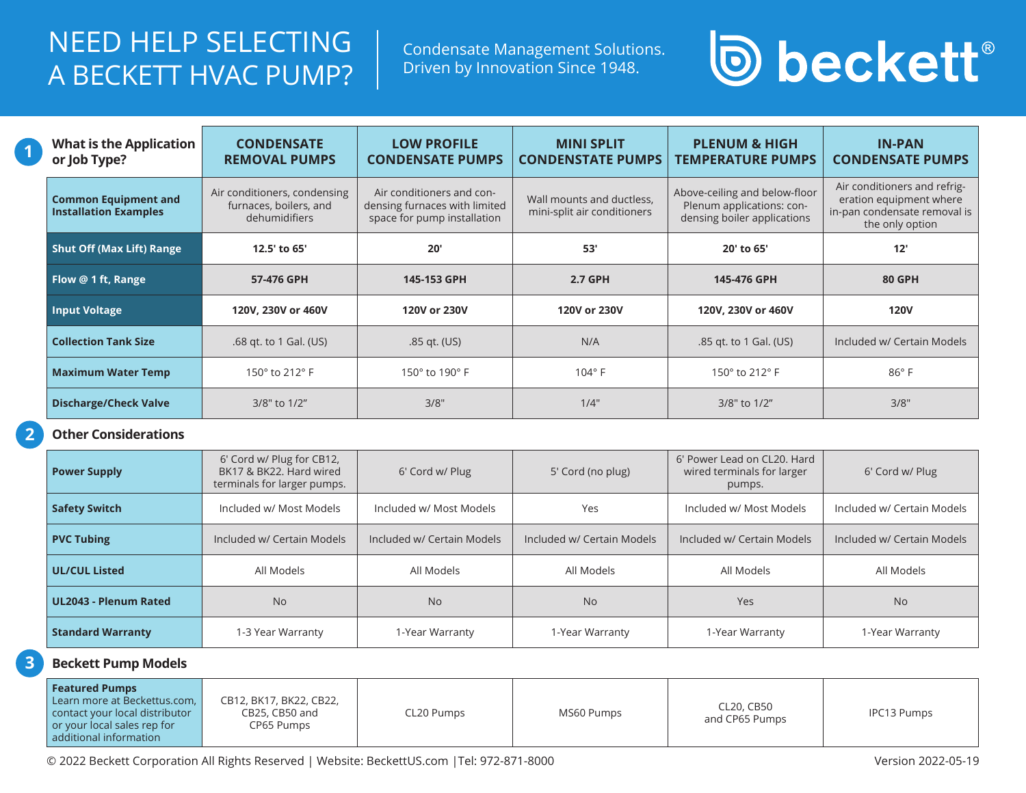### NEED HELP SELECTING A BECKETT HVAC PUMP?

Condensate Management Solutions. Driven by Innovation Since 1948.

# **D** beckett®

| <b>What is the Application</b><br>or Job Type?              | <b>CONDENSATE</b><br><b>REMOVAL PUMPS</b>                               | <b>LOW PROFILE</b><br><b>CONDENSATE PUMPS</b>                                             | <b>MINI SPLIT</b><br><b>CONDENSTATE PUMPS</b>            | <b>PLENUM &amp; HIGH</b><br><b>TEMPERATURE PUMPS</b>                                      | <b>IN-PAN</b><br><b>CONDENSATE PUMPS</b>                                                                   |
|-------------------------------------------------------------|-------------------------------------------------------------------------|-------------------------------------------------------------------------------------------|----------------------------------------------------------|-------------------------------------------------------------------------------------------|------------------------------------------------------------------------------------------------------------|
| <b>Common Equipment and</b><br><b>Installation Examples</b> | Air conditioners, condensing<br>furnaces, boilers, and<br>dehumidifiers | Air conditioners and con-<br>densing furnaces with limited<br>space for pump installation | Wall mounts and ductless,<br>mini-split air conditioners | Above-ceiling and below-floor<br>Plenum applications: con-<br>densing boiler applications | Air conditioners and refrig-<br>eration equipment where<br>in-pan condensate removal is<br>the only option |
| <b>Shut Off (Max Lift) Range</b>                            | 12.5' to 65'                                                            | 20'                                                                                       | 53'                                                      | 20' to 65'                                                                                | 12'                                                                                                        |
| Flow @ 1 ft, Range                                          | 57-476 GPH                                                              | 145-153 GPH                                                                               | <b>2.7 GPH</b>                                           | 145-476 GPH                                                                               | <b>80 GPH</b>                                                                                              |
| <b>Input Voltage</b>                                        | 120V, 230V or 460V                                                      | 120V or 230V                                                                              | 120V or 230V                                             | 120V, 230V or 460V                                                                        | <b>120V</b>                                                                                                |
| <b>Collection Tank Size</b>                                 | .68 gt. to 1 Gal. (US)                                                  | .85 gt. (US)                                                                              | N/A                                                      | .85 gt. to 1 Gal. (US)                                                                    | Included w/ Certain Models                                                                                 |
| <b>Maximum Water Temp</b>                                   | 150° to 212° F                                                          | 150° to 190° F                                                                            | $104^\circ$ F                                            | 150° to 212° F                                                                            | $86^{\circ}$ F                                                                                             |
| <b>Discharge/Check Valve</b>                                | 3/8" to 1/2"                                                            | 3/8"                                                                                      | 1/4"                                                     | 3/8" to 1/2"                                                                              | 3/8"                                                                                                       |

#### **Other Considerations**

**1**

**2**

**3**

| <b>Power Supply</b>      | 6' Cord w/ Plug for CB12,<br>BK17 & BK22, Hard wired<br>terminals for larger pumps. | 6' Cord w/ Plug            | 5' Cord (no plug)          | 6' Power Lead on CL20, Hard<br>wired terminals for larger<br>pumps. | 6' Cord w/ Plug            |
|--------------------------|-------------------------------------------------------------------------------------|----------------------------|----------------------------|---------------------------------------------------------------------|----------------------------|
| <b>Safety Switch</b>     | Included w/ Most Models                                                             | Included w/ Most Models    | Yes                        | Included w/ Most Models                                             | Included w/ Certain Models |
| <b>PVC Tubing</b>        | Included w/ Certain Models                                                          | Included w/ Certain Models | Included w/ Certain Models | Included w/ Certain Models                                          | Included w/ Certain Models |
| <b>UL/CUL Listed</b>     | All Models                                                                          | All Models                 | All Models                 | All Models                                                          | All Models                 |
| UL2043 - Plenum Rated    | <b>No</b>                                                                           | <b>No</b>                  | <b>No</b>                  | Yes                                                                 | <b>No</b>                  |
| <b>Standard Warranty</b> | 1-3 Year Warranty                                                                   | 1-Year Warranty            | 1-Year Warranty            | 1-Year Warranty                                                     | 1-Year Warranty            |

### **Beckett Pump Models**

| <b>Featured Pumps</b><br>Learn more at Beckettus.com,<br>contact your local distributor<br>or your local sales rep for | CB12, BK17, BK22, CB22,<br>CB25, CB50 and<br>CP65 Pumps | CL20 Pumps | MS60 Pumps | CL20, CB50<br>and CP65 Pumps | <b>IPC13 Pumps</b> |
|------------------------------------------------------------------------------------------------------------------------|---------------------------------------------------------|------------|------------|------------------------------|--------------------|
|                                                                                                                        |                                                         |            |            |                              |                    |
| additional information                                                                                                 |                                                         |            |            |                              |                    |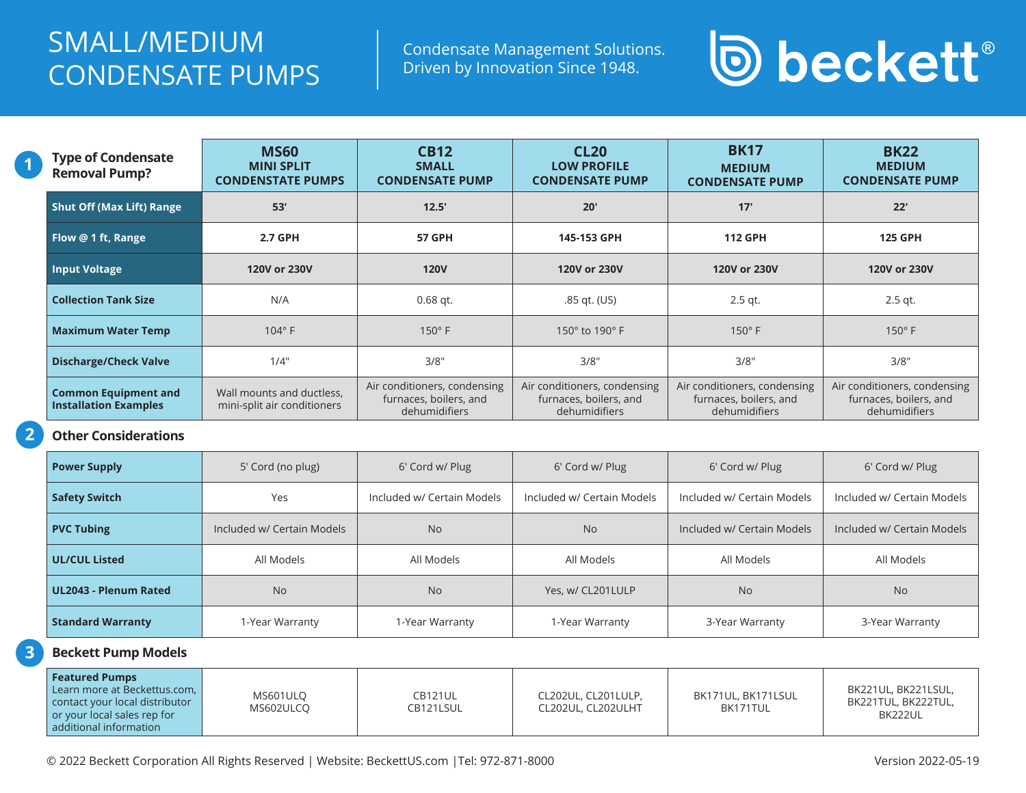### SMALL/MEDIUM CONDENSATE PUMPS

Condensate Management Solutions. Driven by Innovation Since 1948.

# **D** beckett®

| <b>Type of Condensate</b><br><b>Removal Pump?</b>           | <b>MS60</b><br><b>MINI SPLIT</b><br><b>CONDENSTATE PUMPS</b> | <b>CB12</b><br><b>SMALL</b><br><b>CONDENSATE PUMP</b>                   | CL <sub>20</sub><br><b>LOW PROFILE</b><br><b>CONDENSATE PUMP</b>        | <b>BK17</b><br><b>MEDIUM</b><br><b>CONDENSATE PUMP</b>                  | <b>BK22</b><br><b>MEDIUM</b><br><b>CONDENSATE PUMP</b>                  |
|-------------------------------------------------------------|--------------------------------------------------------------|-------------------------------------------------------------------------|-------------------------------------------------------------------------|-------------------------------------------------------------------------|-------------------------------------------------------------------------|
| <b>Shut Off (Max Lift) Range</b>                            | 53'                                                          | 12.5'                                                                   | 20'                                                                     | 17'                                                                     | 22'                                                                     |
| Flow @ 1 ft, Range                                          | 2.7 GPH                                                      | <b>57 GPH</b>                                                           | 145-153 GPH                                                             | <b>112 GPH</b>                                                          | <b>125 GPH</b>                                                          |
| <b>Input Voltage</b>                                        | 120V or 230V                                                 | <b>120V</b>                                                             | 120V or 230V                                                            | 120V or 230V                                                            | 120V or 230V                                                            |
| <b>Collection Tank Size</b>                                 | N/A                                                          | $0.68$ qt.                                                              | .85 gt. (US)                                                            | $2.5$ gt.                                                               | $2.5$ gt.                                                               |
| <b>Maximum Water Temp</b>                                   | $104^\circ$ F                                                | $150^\circ$ F                                                           | 150 $\degree$ to 190 $\degree$ F                                        | $150^\circ$ F                                                           | $150^\circ$ F                                                           |
| <b>Discharge/Check Valve</b>                                | 1/4"                                                         | 3/8"                                                                    | 3/8"                                                                    | 3/8"                                                                    | 3/8"                                                                    |
| <b>Common Equipment and</b><br><b>Installation Examples</b> | Wall mounts and ductless,<br>mini-split air conditioners     | Air conditioners, condensing<br>furnaces, boilers, and<br>dehumidifiers | Air conditioners, condensing<br>furnaces, boilers, and<br>dehumidifiers | Air conditioners, condensing<br>furnaces, boilers, and<br>dehumidifiers | Air conditioners, condensing<br>furnaces, boilers, and<br>dehumidifiers |

### **Other Considerations**

**1**

**2**

| <b>Power Supply</b>          | 5' Cord (no plug)          | 6' Cord w/ Plug            | 6' Cord w/ Plug            | 6' Cord w/ Plug            | 6' Cord w/ Plug            |
|------------------------------|----------------------------|----------------------------|----------------------------|----------------------------|----------------------------|
| <b>Safety Switch</b>         | Yes                        | Included w/ Certain Models | Included w/ Certain Models | Included w/ Certain Models | Included w/ Certain Models |
| <b>PVC Tubing</b>            | Included w/ Certain Models | <b>No</b>                  | <b>No</b>                  | Included w/ Certain Models | Included w/ Certain Models |
| <b>UL/CUL Listed</b>         | All Models                 | All Models                 | All Models                 | All Models                 | All Models                 |
| <b>UL2043 - Plenum Rated</b> | <b>No</b>                  | <b>No</b>                  | Yes, w/ CL201LULP          | <b>No</b>                  | <b>No</b>                  |
| <b>Standard Warranty</b>     | 1-Year Warranty            | 1-Year Warranty            | 1-Year Warranty            | 3-Year Warranty            | 3-Year Warranty            |

#### **Beckett Pump Models 3**

| <b>Featured Pumps</b><br>Learn more at Beckettus.com. I<br>MS601ULO<br>contact your local distributor<br>MS602ULCO<br>or your local sales rep for<br>additional information | <b>CB121UL</b><br>CB121LSUL | CL202UL, CL201LULP,<br>CL202UL. CL202ULHT | BK171UL, BK171LSUL<br>BK171TUL | BK221UL, BK221LSUL,<br>BK221TUL, BK222TUL,<br>BK222UL |
|-----------------------------------------------------------------------------------------------------------------------------------------------------------------------------|-----------------------------|-------------------------------------------|--------------------------------|-------------------------------------------------------|
|-----------------------------------------------------------------------------------------------------------------------------------------------------------------------------|-----------------------------|-------------------------------------------|--------------------------------|-------------------------------------------------------|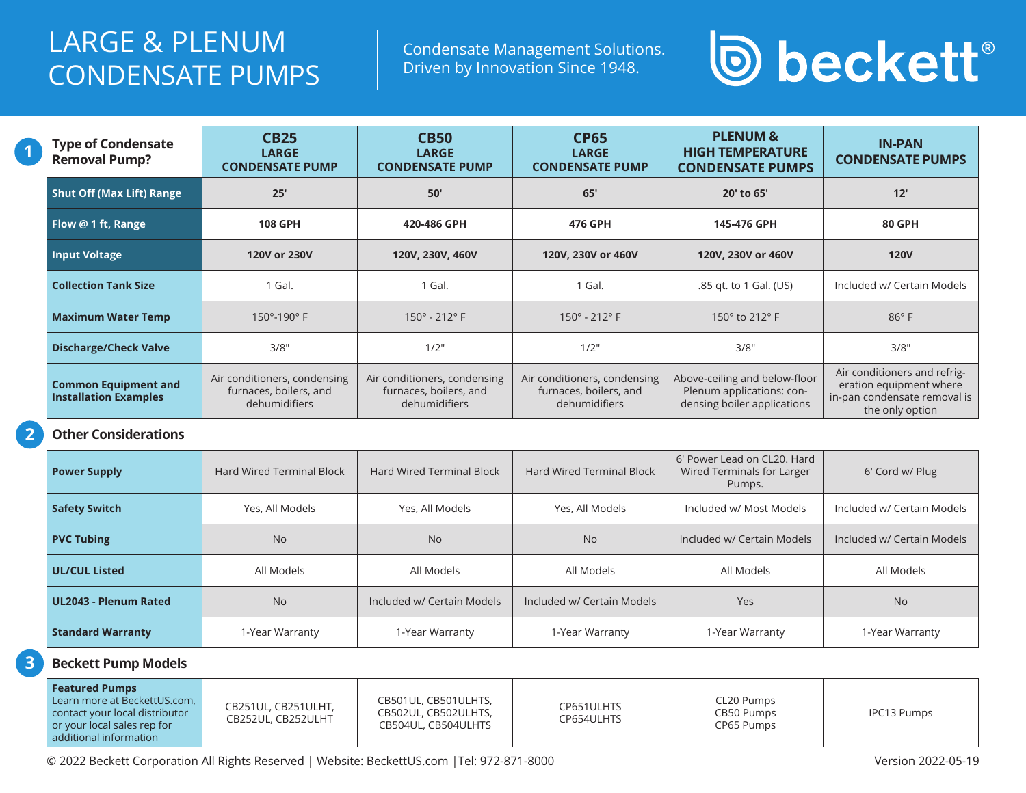### LARGE & PLENUM CONDENSATE PUMPS

Condensate Management Solutions. Driven by Innovation Since 1948.



| <b>Type of Condensate</b><br><b>Removal Pump?</b>           | <b>CB25</b><br><b>LARGE</b><br><b>CONDENSATE PUMP</b>                   | <b>CB50</b><br><b>LARGE</b><br><b>CONDENSATE PUMP</b>                   | <b>CP65</b><br><b>LARGE</b><br><b>CONDENSATE PUMP</b>                   | <b>PLENUM &amp;</b><br><b>HIGH TEMPERATURE</b><br><b>CONDENSATE PUMPS</b>                 | <b>IN-PAN</b><br><b>CONDENSATE PUMPS</b>                                                                   |
|-------------------------------------------------------------|-------------------------------------------------------------------------|-------------------------------------------------------------------------|-------------------------------------------------------------------------|-------------------------------------------------------------------------------------------|------------------------------------------------------------------------------------------------------------|
| <b>Shut Off (Max Lift) Range</b>                            | 25'                                                                     | 50'                                                                     | 65'                                                                     | 20' to 65'                                                                                | 12'                                                                                                        |
| Flow @ 1 ft, Range                                          | <b>108 GPH</b>                                                          | 420-486 GPH                                                             | 476 GPH                                                                 | 145-476 GPH                                                                               | <b>80 GPH</b>                                                                                              |
| <b>Input Voltage</b>                                        | 120V or 230V                                                            | 120V, 230V, 460V                                                        | 120V, 230V or 460V                                                      | 120V, 230V or 460V                                                                        | <b>120V</b>                                                                                                |
| <b>Collection Tank Size</b>                                 | 1 Gal.                                                                  | 1 Gal.                                                                  | 1 Gal.                                                                  | .85 gt. to 1 Gal. (US)                                                                    | Included w/ Certain Models                                                                                 |
| <b>Maximum Water Temp</b>                                   | $150^{\circ} - 190^{\circ}$ F                                           | $150^{\circ}$ - 212° F                                                  | $150^{\circ}$ - 212° F                                                  | 150° to 212° F                                                                            | $86^\circ$ F                                                                                               |
| <b>Discharge/Check Valve</b>                                | 3/8"                                                                    | 1/2"                                                                    | 1/2"                                                                    | 3/8"                                                                                      | 3/8"                                                                                                       |
| <b>Common Equipment and</b><br><b>Installation Examples</b> | Air conditioners, condensing<br>furnaces, boilers, and<br>dehumidifiers | Air conditioners, condensing<br>furnaces, boilers, and<br>dehumidifiers | Air conditioners, condensing<br>furnaces, boilers, and<br>dehumidifiers | Above-ceiling and below-floor<br>Plenum applications: con-<br>densing boiler applications | Air conditioners and refrig-<br>eration equipment where<br>in-pan condensate removal is<br>the only option |

#### **Other Considerations**

**1**

**2**

**3**

| <b>Power Supply</b>          | <b>Hard Wired Terminal Block</b> | <b>Hard Wired Terminal Block</b> | <b>Hard Wired Terminal Block</b> | 6' Power Lead on CL20. Hard<br>Wired Terminals for Larger<br>Pumps. | 6' Cord w/ Plug            |
|------------------------------|----------------------------------|----------------------------------|----------------------------------|---------------------------------------------------------------------|----------------------------|
| <b>Safety Switch</b>         | Yes, All Models                  | Yes, All Models                  | Yes, All Models                  | Included w/ Most Models                                             | Included w/ Certain Models |
| <b>PVC Tubing</b>            | <b>No</b>                        | <b>No</b>                        | <b>No</b>                        | Included w/ Certain Models                                          | Included w/ Certain Models |
| <b>UL/CUL Listed</b>         | All Models                       | All Models                       | All Models                       | All Models                                                          | All Models                 |
| <b>UL2043 - Plenum Rated</b> | <b>No</b>                        | Included w/ Certain Models       | Included w/ Certain Models       | Yes                                                                 | <b>No</b>                  |
| <b>Standard Warranty</b>     | 1-Year Warranty                  | 1-Year Warranty                  | 1-Year Warranty                  | 1-Year Warranty                                                     | 1-Year Warranty            |

### **Beckett Pump Models**

| <b>Featured Pumps</b><br>Learn more at BeckettUS.com.  <br>CB251UL, CB251ULHT,<br>contact your local distributor<br>CB252UL. CB252ULHT<br>or your local sales rep for<br>additional information | CB501UL, CB501ULHTS,<br>CB502UL, CB502ULHTS,<br>CB504UL, CB504ULHTS | CP651ULHTS<br>CP654ULHTS | CL20 Pumps<br>CB50 Pumps<br>CP65 Pumps | <b>IPC13 Pumps</b> |
|-------------------------------------------------------------------------------------------------------------------------------------------------------------------------------------------------|---------------------------------------------------------------------|--------------------------|----------------------------------------|--------------------|
|-------------------------------------------------------------------------------------------------------------------------------------------------------------------------------------------------|---------------------------------------------------------------------|--------------------------|----------------------------------------|--------------------|